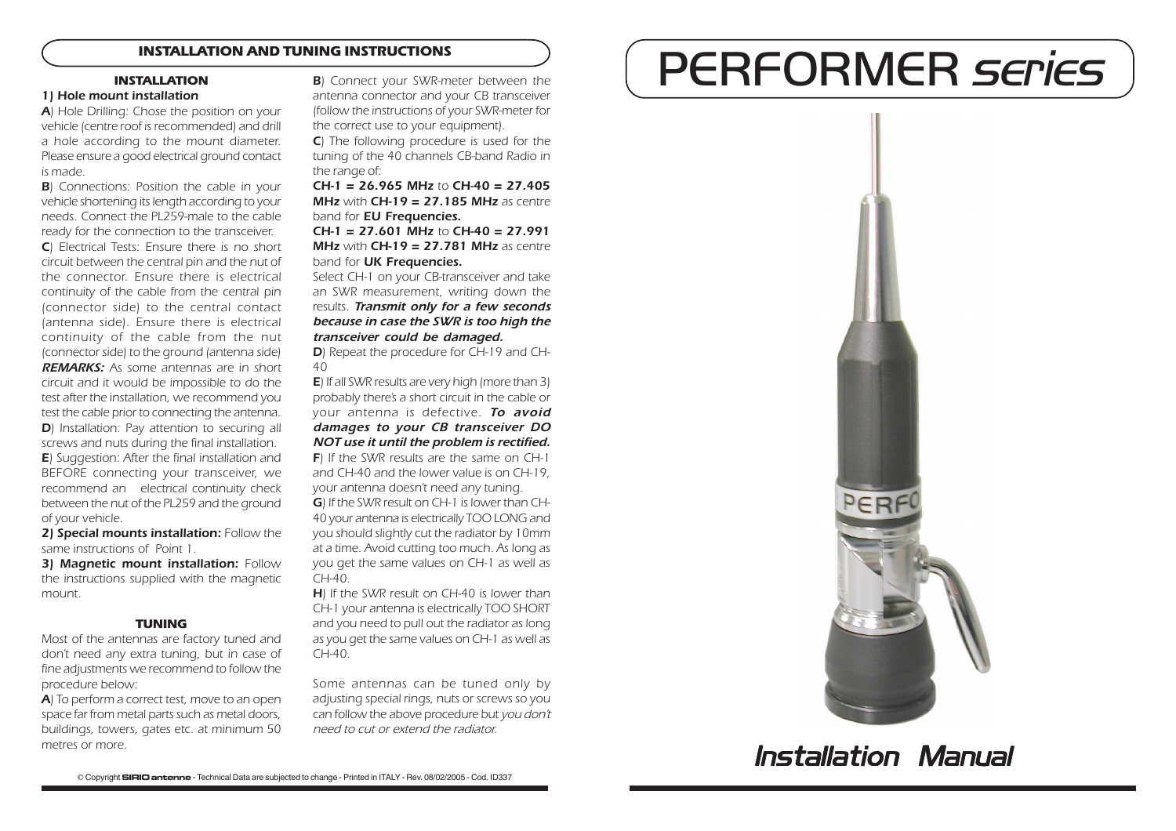## **INSTALLATION AND TUNING INSTRUCTIONS**

### 1) Hole mount installation

A) Hole Drilling: Chose the position on your vehicle (centre roof is recommended) and drill a hole according to the mount diameter. Please ensure a good electrical ground contact is made.

**B**) Connections: Position the cable in your vehicle shortening its length according to your needs. Connect the PL259-male to the cable ready for the connection to the transceiver.

C) Electrical Tests: Ensure there is no short circuit between the central pin and the nut of the connector. Ensure there is electrical continuity of the cable from the central pin (connector side) to the central contact (antenna side). Ensure there is electrical continuity of the cable from the nut (connector side) to the ground (antenna side) **REMARKS:** As some antennas are in short circuit and it would be impossible to do the test after the installation, we recommend you test the cable prior to connecting the antenna. D) Installation: Pay attention to securing all screws and nuts during the final installation. E) Suggestion: After the final installation and BEFORE connecting your transceiver, we recommend an electrical continuity check between the nut of the PL259 and the ground of your vehicle.

2) Special mounts installation: Follow the same instructions of Point 1.

3) Magnetic mount installation: Follow the instructions supplied with the magnetic mount.

### **TUNING**

Most of the antennas are factory tuned and don't need any extra tuning, but in case of fine adjustments we recommend to follow the procedure below:

A) To perform a correct test, move to an open space far from metal parts such as metal doors, buildings, towers, gates etc. at minimum 50 metres or more.

**B**) Connect your SWR-meter between the antenna connector and your CB transceiver (follow the instructions of your SWR-meter for the correct use to your equipment).

C) The following procedure is used for the tuning of the 40 channels CB-band Radio in the range of:

 $CH-1 = 26.965 \text{ MHz}$  to  $CH-40 = 27.405$ **MHz** with  $CH-19 = 27.185$  MHz as centre band for **EU Frequencies.** 

CH-1 = 27.601 MHz to CH-40 = 27.991 **MHz** with  $CH-19 = 27.781$  MHz as centre band for **UK Frequencies.** 

Select CH-1 on your CB-transceiver and take an SWR measurement, writing down the results. **Transmit only for a few seconds** because in case the SWR is too high the transceiver could be damaged.

D) Repeat the procedure for CH-19 and CH-40

E) If all SWR results are very high (more than 3) probably there's a short circuit in the cable or your antenna is defective. To avoid damages to your CB transceiver DO NOT use it until the problem is rectified. F) If the SWR results are the same on CH-1 and CH-40 and the lower value is on CH-19, your antenna doesn't need any tuning. G) If the SWR result on CH-1 is lower than CH-40 your antenna is electrically TOO LONG and you should slightly cut the radiator by 10mm at a time. Avoid cutting too much. As long as you get the same values on CH-1 as well as CH-40.

**H**) If the SWR result on CH-40 is lower than CH-1 your antenna is electrically TOO SHORT and you need to pull out the radiator as long as you get the same values on CH-1 as well as  $CH-40$ 

Some antennas can be tuned only by adjusting special rings, nuts or screws so you can follow the above procedure but you don't need to cut or extend the radiator.

# INSTALLATION AND TUNING INSTRUCTIONS<br>INSTALLATION BEXTONICLE YOUR SWR-meter between the **PERFORMER SEPIES**



Installation Manual